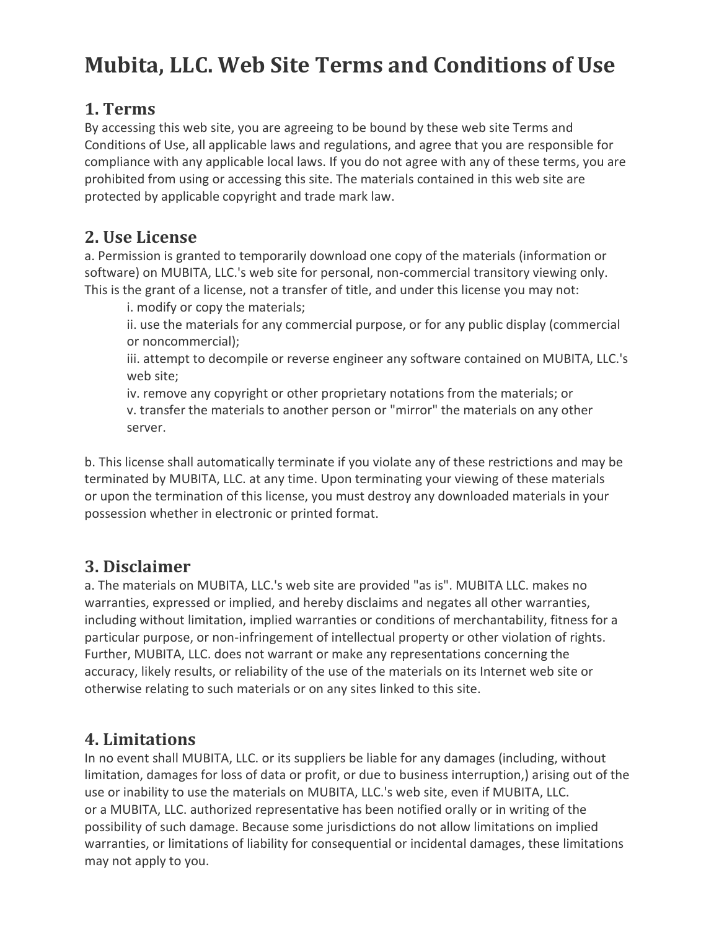## **Mubita, LLC. Web Site Terms and Conditions of Use**

#### **1. Terms**

By accessing this web site, you are agreeing to be bound by these web site Terms and Conditions of Use, all applicable laws and regulations, and agree that you are responsible for compliance with any applicable local laws. If you do not agree with any of these terms, you are prohibited from using or accessing this site. The materials contained in this web site are protected by applicable copyright and trade mark law.

### **2. Use License**

a. Permission is granted to temporarily download one copy of the materials (information or software) on MUBITA, LLC.'s web site for personal, non-commercial transitory viewing only. This is the grant of a license, not a transfer of title, and under this license you may not:

i. modify or copy the materials;

ii. use the materials for any commercial purpose, or for any public display (commercial or noncommercial);

iii. attempt to decompile or reverse engineer any software contained on MUBITA, LLC.'s web site;

iv. remove any copyright or other proprietary notations from the materials; or v. transfer the materials to another person or "mirror" the materials on any other server.

b. This license shall automatically terminate if you violate any of these restrictions and may be terminated by MUBITA, LLC. at any time. Upon terminating your viewing of these materials or upon the termination of this license, you must destroy any downloaded materials in your possession whether in electronic or printed format.

## **3. Disclaimer**

a. The materials on MUBITA, LLC.'s web site are provided "as is". MUBITA LLC. makes no warranties, expressed or implied, and hereby disclaims and negates all other warranties, including without limitation, implied warranties or conditions of merchantability, fitness for a particular purpose, or non-infringement of intellectual property or other violation of rights. Further, MUBITA, LLC. does not warrant or make any representations concerning the accuracy, likely results, or reliability of the use of the materials on its Internet web site or otherwise relating to such materials or on any sites linked to this site.

#### **4. Limitations**

In no event shall MUBITA, LLC. or its suppliers be liable for any damages (including, without limitation, damages for loss of data or profit, or due to business interruption,) arising out of the use or inability to use the materials on MUBITA, LLC.'s web site, even if MUBITA, LLC. or a MUBITA, LLC. authorized representative has been notified orally or in writing of the possibility of such damage. Because some jurisdictions do not allow limitations on implied warranties, or limitations of liability for consequential or incidental damages, these limitations may not apply to you.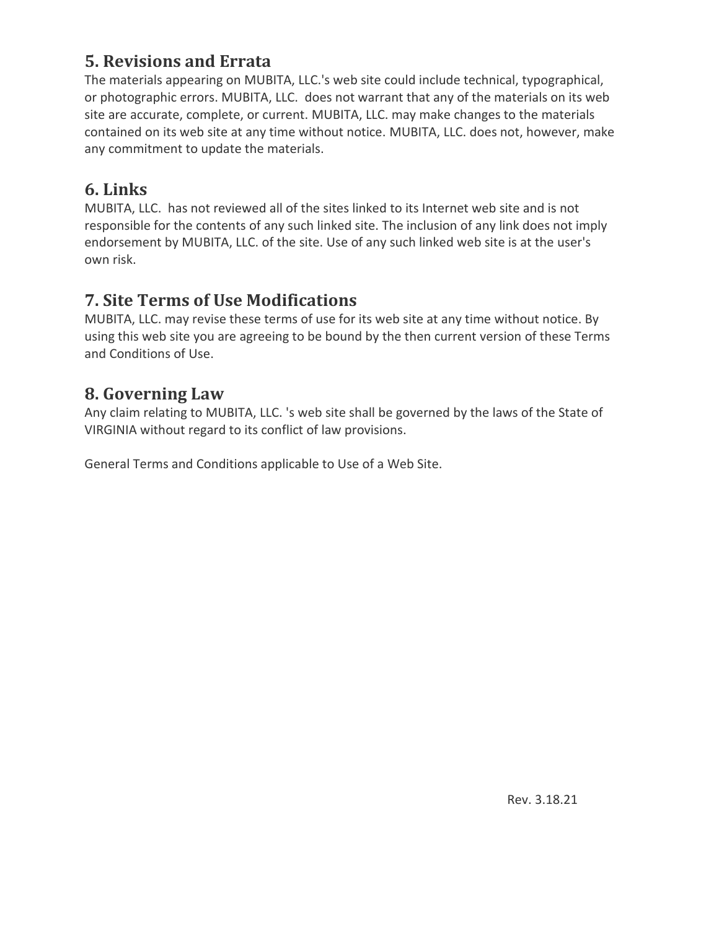#### **5. Revisions and Errata**

The materials appearing on MUBITA, LLC.'s web site could include technical, typographical, or photographic errors. MUBITA, LLC. does not warrant that any of the materials on its web site are accurate, complete, or current. MUBITA, LLC. may make changes to the materials contained on its web site at any time without notice. MUBITA, LLC. does not, however, make any commitment to update the materials.

#### **6. Links**

MUBITA, LLC. has not reviewed all of the sites linked to its Internet web site and is not responsible for the contents of any such linked site. The inclusion of any link does not imply endorsement by MUBITA, LLC. of the site. Use of any such linked web site is at the user's own risk.

### **7. Site Terms of Use Modifications**

MUBITA, LLC. may revise these terms of use for its web site at any time without notice. By using this web site you are agreeing to be bound by the then current version of these Terms and Conditions of Use.

#### **8. Governing Law**

Any claim relating to MUBITA, LLC. 's web site shall be governed by the laws of the State of VIRGINIA without regard to its conflict of law provisions.

General Terms and Conditions applicable to Use of a Web Site.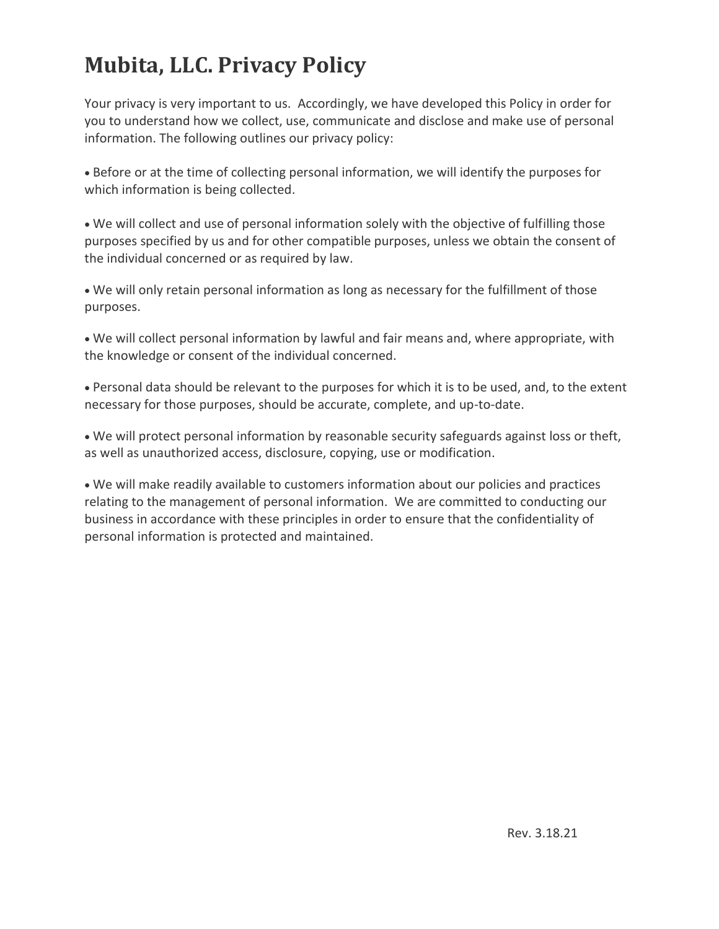# **Mubita, LLC. Privacy Policy**

Your privacy is very important to us. Accordingly, we have developed this Policy in order for you to understand how we collect, use, communicate and disclose and make use of personal information. The following outlines our privacy policy:

• Before or at the time of collecting personal information, we will identify the purposes for which information is being collected.

• We will collect and use of personal information solely with the objective of fulfilling those purposes specified by us and for other compatible purposes, unless we obtain the consent of the individual concerned or as required by law.

• We will only retain personal information as long as necessary for the fulfillment of those purposes.

• We will collect personal information by lawful and fair means and, where appropriate, with the knowledge or consent of the individual concerned.

• Personal data should be relevant to the purposes for which it is to be used, and, to the extent necessary for those purposes, should be accurate, complete, and up-to-date.

• We will protect personal information by reasonable security safeguards against loss or theft, as well as unauthorized access, disclosure, copying, use or modification.

• We will make readily available to customers information about our policies and practices relating to the management of personal information. We are committed to conducting our business in accordance with these principles in order to ensure that the confidentiality of personal information is protected and maintained.